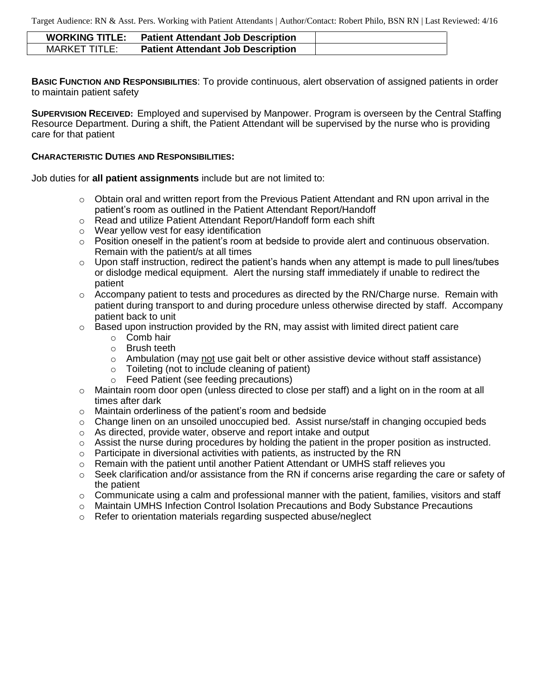Target Audience: RN & Asst. Pers. Working with Patient Attendants | Author/Contact: Robert Philo, BSN RN | Last Reviewed: 4/16

| <b>WORKING TITLE:</b> | <b>Patient Attendant Job Description</b> |  |
|-----------------------|------------------------------------------|--|
| MARKET TITLE:         | <b>Patient Attendant Job Description</b> |  |

**BASIC FUNCTION AND RESPONSIBILITIES**: To provide continuous, alert observation of assigned patients in order to maintain patient safety

**SUPERVISION RECEIVED:** Employed and supervised by Manpower. Program is overseen by the Central Staffing Resource Department. During a shift, the Patient Attendant will be supervised by the nurse who is providing care for that patient

#### **CHARACTERISTIC DUTIES AND RESPONSIBILITIES:**

Job duties for **all patient assignments** include but are not limited to:

- $\circ$  Obtain oral and written report from the Previous Patient Attendant and RN upon arrival in the patient's room as outlined in the Patient Attendant Report/Handoff
- o Read and utilize Patient Attendant Report/Handoff form each shift
- o Wear yellow vest for easy identification
- o Position oneself in the patient's room at bedside to provide alert and continuous observation. Remain with the patient/s at all times
- $\circ$  Upon staff instruction, redirect the patient's hands when any attempt is made to pull lines/tubes or dislodge medical equipment. Alert the nursing staff immediately if unable to redirect the patient
- $\circ$  Accompany patient to tests and procedures as directed by the RN/Charge nurse. Remain with patient during transport to and during procedure unless otherwise directed by staff. Accompany patient back to unit
- o Based upon instruction provided by the RN, may assist with limited direct patient care
	- o Comb hair
	- o Brush teeth
	- $\circ$  Ambulation (may not use gait belt or other assistive device without staff assistance)
	- o Toileting (not to include cleaning of patient)
	- o Feed Patient (see feeding precautions)
- o Maintain room door open (unless directed to close per staff) and a light on in the room at all times after dark
- o Maintain orderliness of the patient's room and bedside
- $\circ$  Change linen on an unsoiled unoccupied bed. Assist nurse/staff in changing occupied beds
- o As directed, provide water, observe and report intake and output
- o Assist the nurse during procedures by holding the patient in the proper position as instructed.
- $\circ$  Participate in diversional activities with patients, as instructed by the RN
- $\circ$  Remain with the patient until another Patient Attendant or UMHS staff relieves you
- $\circ$  Seek clarification and/or assistance from the RN if concerns arise regarding the care or safety of the patient
- $\circ$  Communicate using a calm and professional manner with the patient, families, visitors and staff
- o Maintain UMHS Infection Control Isolation Precautions and Body Substance Precautions
- o Refer to orientation materials regarding suspected abuse/neglect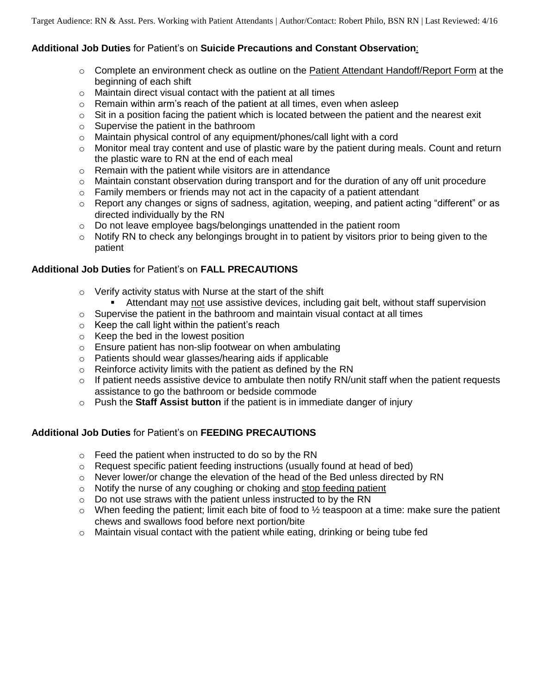# **Additional Job Duties** for Patient's on **Suicide Precautions and Constant Observation**:

- $\circ$  Complete an environment check as outline on the Patient Attendant Handoff/Report Form at the beginning of each shift
- $\circ$  Maintain direct visual contact with the patient at all times
- $\circ$  Remain within arm's reach of the patient at all times, even when asleep
- $\circ$  Sit in a position facing the patient which is located between the patient and the nearest exit
- o Supervise the patient in the bathroom
- o Maintain physical control of any equipment/phones/call light with a cord
- $\circ$  Monitor meal tray content and use of plastic ware by the patient during meals. Count and return the plastic ware to RN at the end of each meal
- o Remain with the patient while visitors are in attendance
- $\circ$  Maintain constant observation during transport and for the duration of any off unit procedure
- $\circ$  Family members or friends may not act in the capacity of a patient attendant
- $\circ$  Report any changes or signs of sadness, agitation, weeping, and patient acting "different" or as directed individually by the RN
- o Do not leave employee bags/belongings unattended in the patient room
- $\circ$  Notify RN to check any belongings brought in to patient by visitors prior to being given to the patient

# **Additional Job Duties** for Patient's on **FALL PRECAUTIONS**

- o Verify activity status with Nurse at the start of the shift
	- Attendant may not use assistive devices, including gait belt, without staff supervision
- o Supervise the patient in the bathroom and maintain visual contact at all times
- $\circ$  Keep the call light within the patient's reach
- o Keep the bed in the lowest position
- o Ensure patient has non-slip footwear on when ambulating
- o Patients should wear glasses/hearing aids if applicable
- o Reinforce activity limits with the patient as defined by the RN
- $\circ$  If patient needs assistive device to ambulate then notify RN/unit staff when the patient requests assistance to go the bathroom or bedside commode
- o Push the **Staff Assist button** if the patient is in immediate danger of injury

# **Additional Job Duties** for Patient's on **FEEDING PRECAUTIONS**

- o Feed the patient when instructed to do so by the RN
- $\circ$  Request specific patient feeding instructions (usually found at head of bed)
- $\circ$  Never lower/or change the elevation of the head of the Bed unless directed by RN
- o Notify the nurse of any coughing or choking and stop feeding patient
- $\circ$  Do not use straws with the patient unless instructed to by the RN
- $\circ$  When feeding the patient; limit each bite of food to  $\frac{1}{2}$  teaspoon at a time: make sure the patient chews and swallows food before next portion/bite
- $\circ$  Maintain visual contact with the patient while eating, drinking or being tube fed